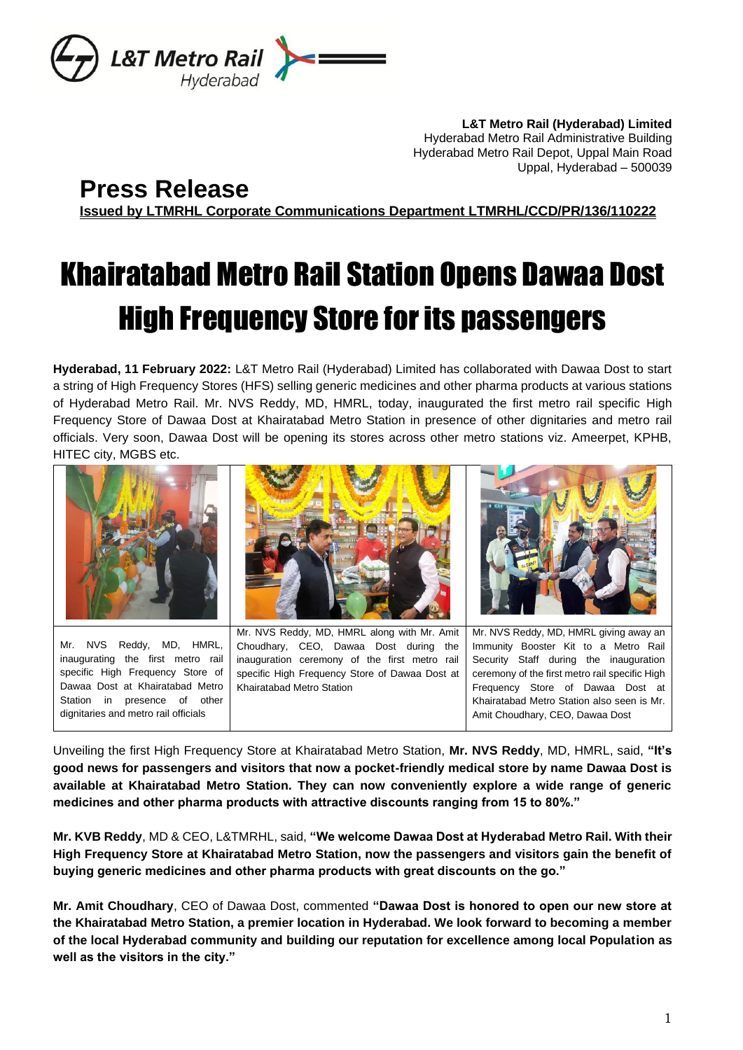

**L&T Metro Rail (Hyderabad) Limited** Hyderabad Metro Rail Administrative Building Hyderabad Metro Rail Depot, Uppal Main Road Uppal, Hyderabad – 500039

## **Press Release**

**Issued by LTMRHL Corporate Communications Department LTMRHL/CCD/PR/136/110222**

# Khairatabad Metro Rail Station Opens Dawaa Dost High Frequency Store for its passengers

**Hyderabad, 11 February 2022:** L&T Metro Rail (Hyderabad) Limited has collaborated with Dawaa Dost to start a string of High Frequency Stores (HFS) selling generic medicines and other pharma products at various stations of Hyderabad Metro Rail. Mr. NVS Reddy, MD, HMRL, today, inaugurated the first metro rail specific High Frequency Store of Dawaa Dost at Khairatabad Metro Station in presence of other dignitaries and metro rail officials. Very soon, Dawaa Dost will be opening its stores across other metro stations viz. Ameerpet, KPHB, HITEC city, MGBS etc.



specific High Frequency Store of Dawaa Dost at Khairatabad Metro Station in presence of other dignitaries and metro rail officials

specific High Frequency Store of Dawaa Dost at Khairatabad Metro Station

ceremony of the first metro rail specific High Frequency Store of Dawaa Dost at Khairatabad Metro Station also seen is Mr. Amit Choudhary, CEO, Dawaa Dost

Unveiling the first High Frequency Store at Khairatabad Metro Station, **Mr. NVS Reddy**, MD, HMRL, said, **"It's good news for passengers and visitors that now a pocket-friendly medical store by name Dawaa Dost is available at Khairatabad Metro Station. They can now conveniently explore a wide range of generic medicines and other pharma products with attractive discounts ranging from 15 to 80%."**

**Mr. KVB Reddy**, MD & CEO, L&TMRHL, said, **"We welcome Dawaa Dost at Hyderabad Metro Rail. With their High Frequency Store at Khairatabad Metro Station, now the passengers and visitors gain the benefit of buying generic medicines and other pharma products with great discounts on the go."**

**Mr. Amit Choudhary**, CEO of Dawaa Dost, commented **"Dawaa Dost is honored to open our new store at the Khairatabad Metro Station, a premier location in Hyderabad. We look forward to becoming a member of the local Hyderabad community and building our reputation for excellence among local Population as well as the visitors in the city."**